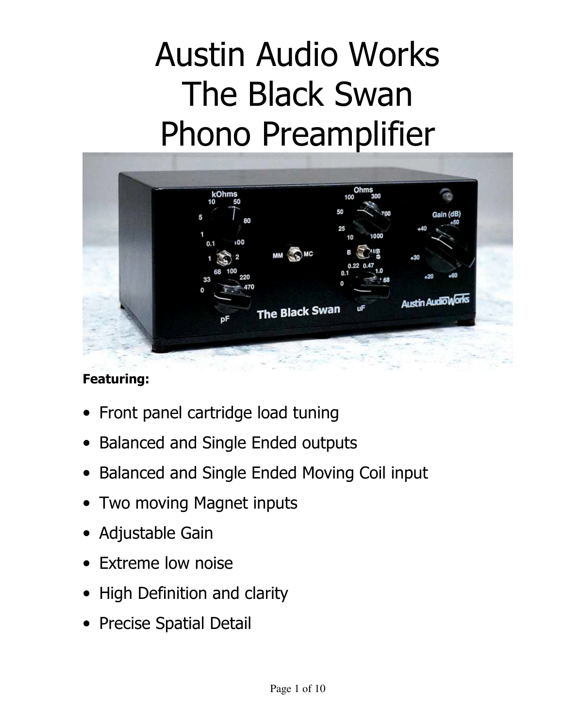# Austin Audio Works The Black Swan Phono Preamplifier



## **Featuring:**

- Front panel cartridge load tuning
- Balanced and Single Ended outputs
- Balanced and Single Ended Moving Coil input
- Two moving Magnet inputs
- Adjustable Gain
- Extreme low noise
- High Definition and clarity
- Precise Spatial Detail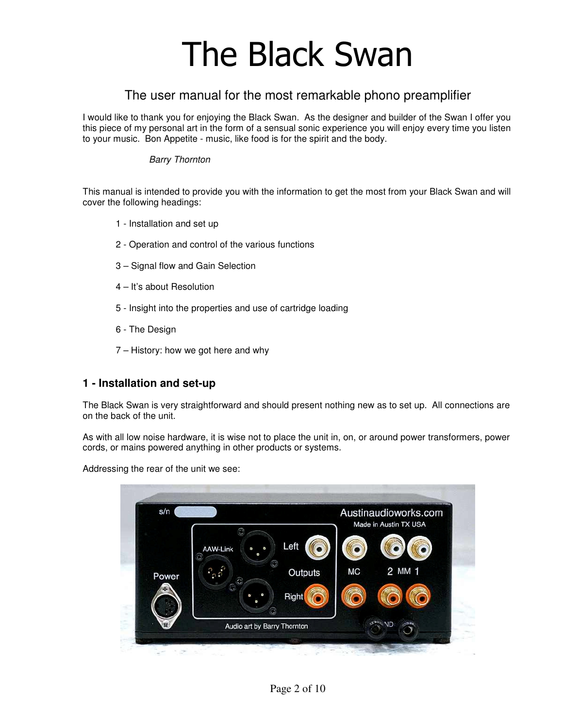## The Black Swan

## The user manual for the most remarkable phono preamplifier

I would like to thank you for enjoying the Black Swan. As the designer and builder of the Swan I offer you this piece of my personal art in the form of a sensual sonic experience you will enjoy every time you listen to your music. Bon Appetite - music, like food is for the spirit and the body.

#### Barry Thornton

This manual is intended to provide you with the information to get the most from your Black Swan and will cover the following headings:

- 1 Installation and set up
- 2 Operation and control of the various functions
- 3 Signal flow and Gain Selection
- 4 It's about Resolution
- 5 Insight into the properties and use of cartridge loading
- 6 The Design
- 7 History: how we got here and why

## **1 - Installation and set-up**

The Black Swan is very straightforward and should present nothing new as to set up. All connections are on the back of the unit.

As with all low noise hardware, it is wise not to place the unit in, on, or around power transformers, power cords, or mains powered anything in other products or systems.

Addressing the rear of the unit we see:

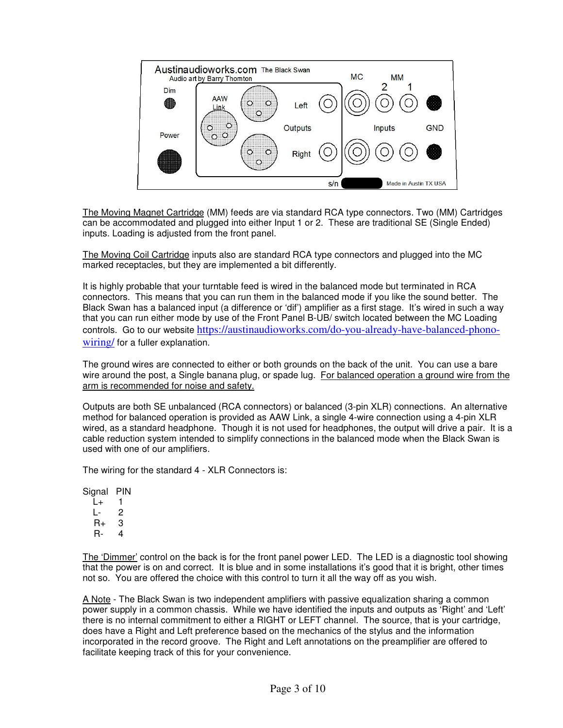

The Moving Magnet Cartridge (MM) feeds are via standard RCA type connectors. Two (MM) Cartridges can be accommodated and plugged into either Input 1 or 2. These are traditional SE (Single Ended) inputs. Loading is adjusted from the front panel.

The Moving Coil Cartridge inputs also are standard RCA type connectors and plugged into the MC marked receptacles, but they are implemented a bit differently.

It is highly probable that your turntable feed is wired in the balanced mode but terminated in RCA connectors. This means that you can run them in the balanced mode if you like the sound better. The Black Swan has a balanced input (a difference or 'dif') amplifier as a first stage. It's wired in such a way that you can run either mode by use of the Front Panel B-UB/ switch located between the MC Loading controls. Go to our website https://austinaudioworks.com/do-you-already-have-balanced-phonowiring/ for a fuller explanation.

The ground wires are connected to either or both grounds on the back of the unit. You can use a bare wire around the post, a Single banana plug, or spade lug. For balanced operation a ground wire from the arm is recommended for noise and safety.

Outputs are both SE unbalanced (RCA connectors) or balanced (3-pin XLR) connections. An alternative method for balanced operation is provided as AAW Link, a single 4-wire connection using a 4-pin XLR wired, as a standard headphone. Though it is not used for headphones, the output will drive a pair. It is a cable reduction system intended to simplify connections in the balanced mode when the Black Swan is used with one of our amplifiers.

The wiring for the standard 4 - XLR Connectors is:

Signal PIN

 $L_{+}$  1  $L - 2$ <br>R+ 3  $R_{+}$ R- 4

The 'Dimmer' control on the back is for the front panel power LED. The LED is a diagnostic tool showing that the power is on and correct. It is blue and in some installations it's good that it is bright, other times not so. You are offered the choice with this control to turn it all the way off as you wish.

A Note - The Black Swan is two independent amplifiers with passive equalization sharing a common power supply in a common chassis. While we have identified the inputs and outputs as 'Right' and 'Left' there is no internal commitment to either a RIGHT or LEFT channel. The source, that is your cartridge, does have a Right and Left preference based on the mechanics of the stylus and the information incorporated in the record groove. The Right and Left annotations on the preamplifier are offered to facilitate keeping track of this for your convenience.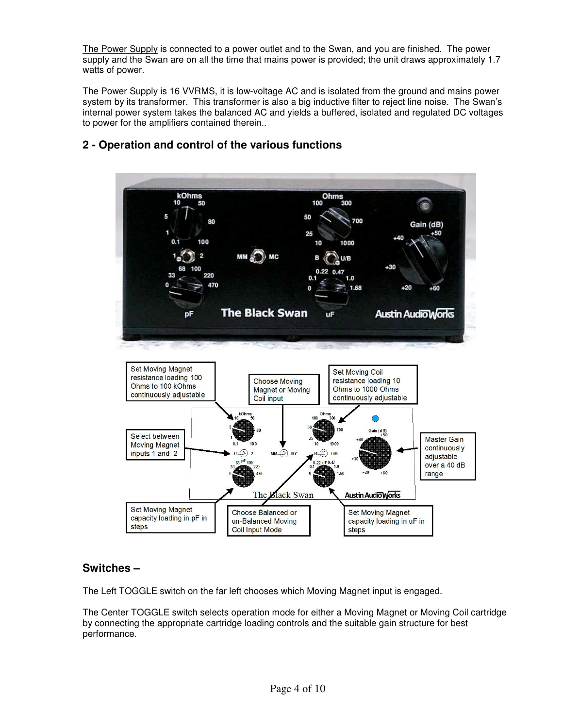The Power Supply is connected to a power outlet and to the Swan, and you are finished. The power supply and the Swan are on all the time that mains power is provided; the unit draws approximately 1.7 watts of power.

The Power Supply is 16 VVRMS, it is low-voltage AC and is isolated from the ground and mains power system by its transformer. This transformer is also a big inductive filter to reject line noise. The Swan's internal power system takes the balanced AC and yields a buffered, isolated and regulated DC voltages to power for the amplifiers contained therein..



## **2 - Operation and control of the various functions**

## **Switches –**

The Left TOGGLE switch on the far left chooses which Moving Magnet input is engaged.

The Center TOGGLE switch selects operation mode for either a Moving Magnet or Moving Coil cartridge by connecting the appropriate cartridge loading controls and the suitable gain structure for best performance.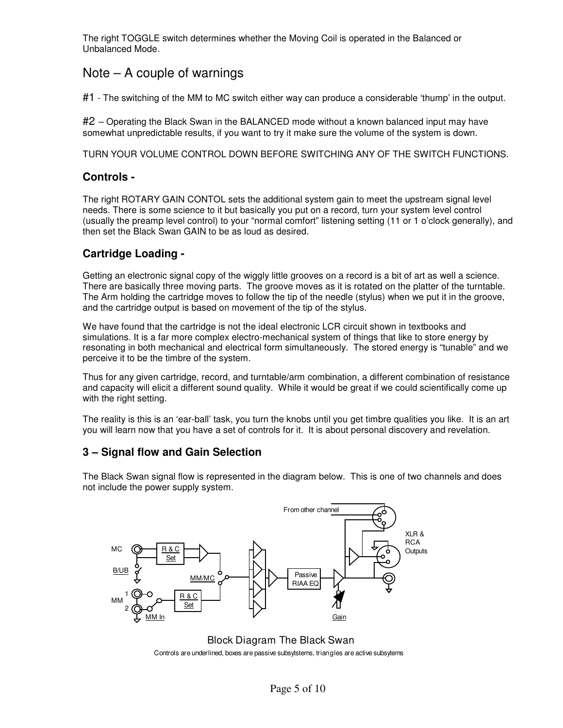The right TOGGLE switch determines whether the Moving Coil is operated in the Balanced or Unbalanced Mode.

## Note – A couple of warnings

#1 - The switching of the MM to MC switch either way can produce a considerable 'thump' in the output.

#2 – Operating the Black Swan in the BALANCED mode without a known balanced input may have somewhat unpredictable results, if you want to try it make sure the volume of the system is down.

TURN YOUR VOLUME CONTROL DOWN BEFORE SWITCHING ANY OF THE SWITCH FUNCTIONS.

#### **Controls -**

The right ROTARY GAIN CONTOL sets the additional system gain to meet the upstream signal level needs. There is some science to it but basically you put on a record, turn your system level control (usually the preamp level control) to your "normal comfort" listening setting (11 or 1 o'clock generally), and then set the Black Swan GAIN to be as loud as desired.

## **Cartridge Loading -**

Getting an electronic signal copy of the wiggly little grooves on a record is a bit of art as well a science. There are basically three moving parts. The groove moves as it is rotated on the platter of the turntable. The Arm holding the cartridge moves to follow the tip of the needle (stylus) when we put it in the groove, and the cartridge output is based on movement of the tip of the stylus.

We have found that the cartridge is not the ideal electronic LCR circuit shown in textbooks and simulations. It is a far more complex electro-mechanical system of things that like to store energy by resonating in both mechanical and electrical form simultaneously. The stored energy is "tunable" and we perceive it to be the timbre of the system.

Thus for any given cartridge, record, and turntable/arm combination, a different combination of resistance and capacity will elicit a different sound quality. While it would be great if we could scientifically come up with the right setting.

The reality is this is an 'ear-ball' task, you turn the knobs until you get timbre qualities you like. It is an art you will learn now that you have a set of controls for it. It is about personal discovery and revelation.

## **3 – Signal flow and Gain Selection**

The Black Swan signal flow is represented in the diagram below. This is one of two channels and does not include the power supply system.



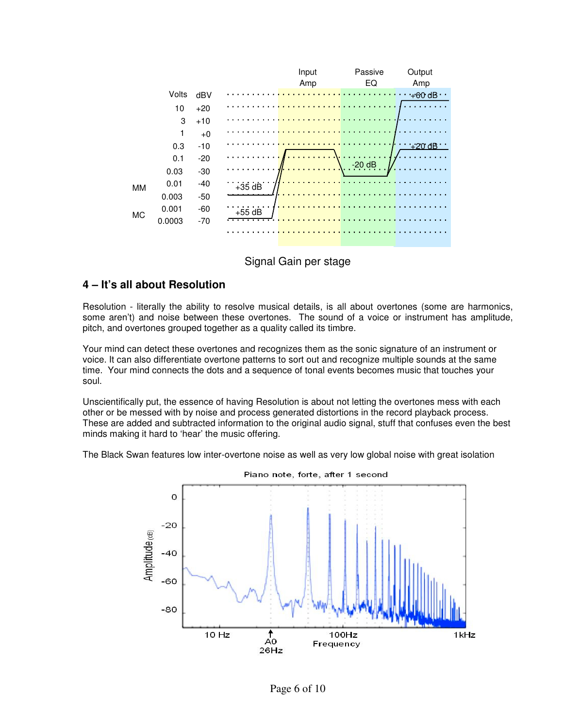



## **4 – It's all about Resolution**

Resolution - literally the ability to resolve musical details, is all about overtones (some are harmonics, some aren't) and noise between these overtones. The sound of a voice or instrument has amplitude, pitch, and overtones grouped together as a quality called its timbre.

Your mind can detect these overtones and recognizes them as the sonic signature of an instrument or voice. It can also differentiate overtone patterns to sort out and recognize multiple sounds at the same time. Your mind connects the dots and a sequence of tonal events becomes music that touches your soul.

Unscientifically put, the essence of having Resolution is about not letting the overtones mess with each other or be messed with by noise and process generated distortions in the record playback process. These are added and subtracted information to the original audio signal, stuff that confuses even the best minds making it hard to 'hear' the music offering.

The Black Swan features low inter-overtone noise as well as very low global noise with great isolation

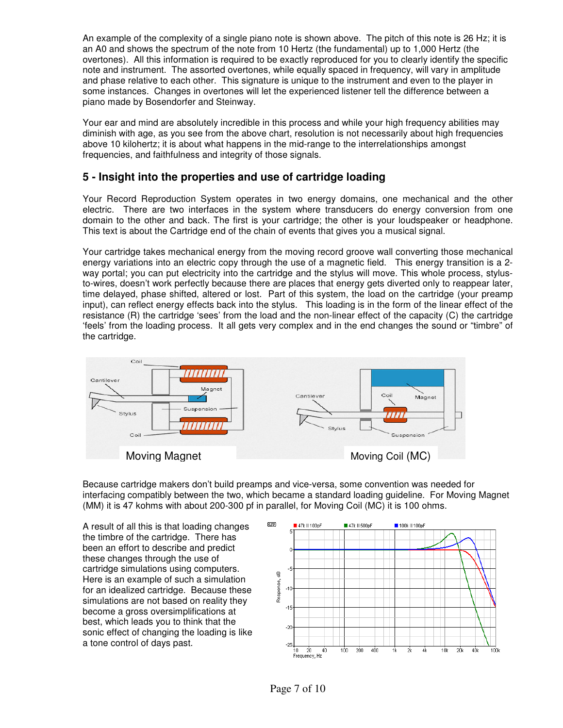An example of the complexity of a single piano note is shown above. The pitch of this note is 26 Hz; it is an A0 and shows the spectrum of the note from 10 Hertz (the fundamental) up to 1,000 Hertz (the overtones). All this information is required to be exactly reproduced for you to clearly identify the specific note and instrument. The assorted overtones, while equally spaced in frequency, will vary in amplitude and phase relative to each other. This signature is unique to the instrument and even to the player in some instances. Changes in overtones will let the experienced listener tell the difference between a piano made by Bosendorfer and Steinway.

Your ear and mind are absolutely incredible in this process and while your high frequency abilities may diminish with age, as you see from the above chart, resolution is not necessarily about high frequencies above 10 kilohertz; it is about what happens in the mid-range to the interrelationships amongst frequencies, and faithfulness and integrity of those signals.

## **5 - Insight into the properties and use of cartridge loading**

Your Record Reproduction System operates in two energy domains, one mechanical and the other electric. There are two interfaces in the system where transducers do energy conversion from one domain to the other and back. The first is your cartridge; the other is your loudspeaker or headphone. This text is about the Cartridge end of the chain of events that gives you a musical signal.

Your cartridge takes mechanical energy from the moving record groove wall converting those mechanical energy variations into an electric copy through the use of a magnetic field. This energy transition is a 2 way portal; you can put electricity into the cartridge and the stylus will move. This whole process, stylusto-wires, doesn't work perfectly because there are places that energy gets diverted only to reappear later, time delayed, phase shifted, altered or lost. Part of this system, the load on the cartridge (your preamp input), can reflect energy effects back into the stylus. This loading is in the form of the linear effect of the resistance (R) the cartridge 'sees' from the load and the non-linear effect of the capacity (C) the cartridge 'feels' from the loading process. It all gets very complex and in the end changes the sound or "timbre" of the cartridge.



Because cartridge makers don't build preamps and vice-versa, some convention was needed for interfacing compatibly between the two, which became a standard loading guideline. For Moving Magnet (MM) it is 47 kohms with about 200-300 pf in parallel, for Moving Coil (MC) it is 100 ohms.

A result of all this is that loading changes the timbre of the cartridge. There has been an effort to describe and predict these changes through the use of cartridge simulations using computers. Here is an example of such a simulation for an idealized cartridge. Because these simulations are not based on reality they become a gross oversimplifications at best, which leads you to think that the sonic effect of changing the loading is like a tone control of days past.

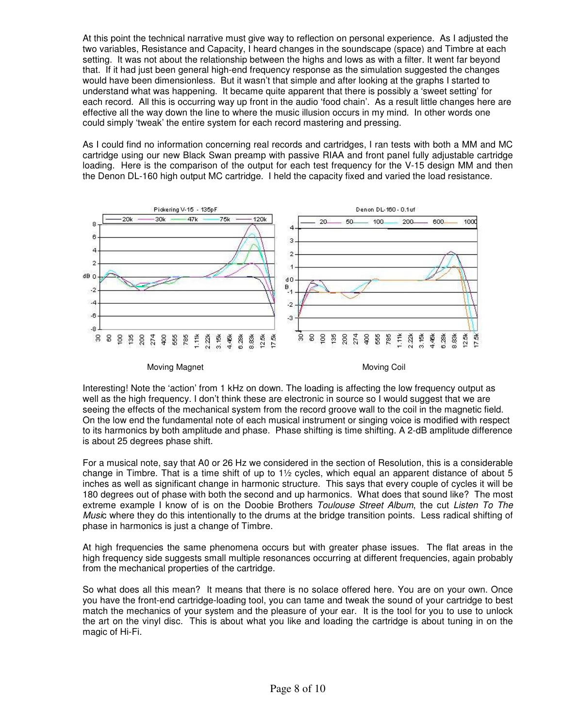At this point the technical narrative must give way to reflection on personal experience. As I adjusted the two variables, Resistance and Capacity, I heard changes in the soundscape (space) and Timbre at each setting. It was not about the relationship between the highs and lows as with a filter. It went far beyond that. If it had just been general high-end frequency response as the simulation suggested the changes would have been dimensionless. But it wasn't that simple and after looking at the graphs I started to understand what was happening. It became quite apparent that there is possibly a 'sweet setting' for each record. All this is occurring way up front in the audio 'food chain'. As a result little changes here are effective all the way down the line to where the music illusion occurs in my mind. In other words one could simply 'tweak' the entire system for each record mastering and pressing.

As I could find no information concerning real records and cartridges, I ran tests with both a MM and MC cartridge using our new Black Swan preamp with passive RIAA and front panel fully adjustable cartridge loading. Here is the comparison of the output for each test frequency for the V-15 design MM and then the Denon DL-160 high output MC cartridge. I held the capacity fixed and varied the load resistance.



Interesting! Note the 'action' from 1 kHz on down. The loading is affecting the low frequency output as well as the high frequency. I don't think these are electronic in source so I would suggest that we are seeing the effects of the mechanical system from the record groove wall to the coil in the magnetic field. On the low end the fundamental note of each musical instrument or singing voice is modified with respect to its harmonics by both amplitude and phase. Phase shifting is time shifting. A 2-dB amplitude difference is about 25 degrees phase shift.

For a musical note, say that A0 or 26 Hz we considered in the section of Resolution, this is a considerable change in Timbre. That is a time shift of up to  $1\frac{1}{2}$  cycles, which equal an apparent distance of about 5 inches as well as significant change in harmonic structure. This says that every couple of cycles it will be 180 degrees out of phase with both the second and up harmonics. What does that sound like? The most extreme example I know of is on the Doobie Brothers Toulouse Street Album, the cut Listen To The Music where they do this intentionally to the drums at the bridge transition points. Less radical shifting of phase in harmonics is just a change of Timbre.

At high frequencies the same phenomena occurs but with greater phase issues. The flat areas in the high frequency side suggests small multiple resonances occurring at different frequencies, again probably from the mechanical properties of the cartridge.

So what does all this mean? It means that there is no solace offered here. You are on your own. Once you have the front-end cartridge-loading tool, you can tame and tweak the sound of your cartridge to best match the mechanics of your system and the pleasure of your ear. It is the tool for you to use to unlock the art on the vinyl disc. This is about what you like and loading the cartridge is about tuning in on the magic of Hi-Fi.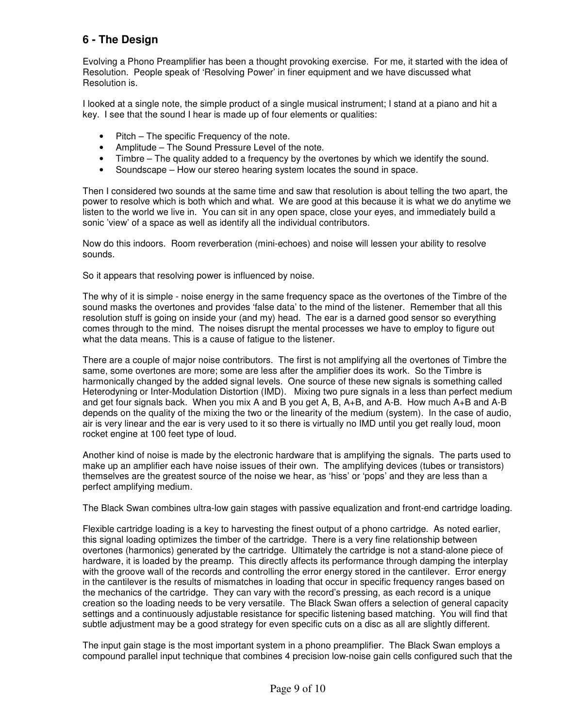## **6 - The Design**

Evolving a Phono Preamplifier has been a thought provoking exercise. For me, it started with the idea of Resolution. People speak of 'Resolving Power' in finer equipment and we have discussed what Resolution is.

I looked at a single note, the simple product of a single musical instrument; I stand at a piano and hit a key. I see that the sound I hear is made up of four elements or qualities:

- Pitch The specific Frequency of the note.
- Amplitude The Sound Pressure Level of the note.
- Timbre The quality added to a frequency by the overtones by which we identify the sound.
- Soundscape How our stereo hearing system locates the sound in space.

Then I considered two sounds at the same time and saw that resolution is about telling the two apart, the power to resolve which is both which and what. We are good at this because it is what we do anytime we listen to the world we live in. You can sit in any open space, close your eyes, and immediately build a sonic 'view' of a space as well as identify all the individual contributors.

Now do this indoors. Room reverberation (mini-echoes) and noise will lessen your ability to resolve sounds.

So it appears that resolving power is influenced by noise.

The why of it is simple - noise energy in the same frequency space as the overtones of the Timbre of the sound masks the overtones and provides 'false data' to the mind of the listener. Remember that all this resolution stuff is going on inside your (and my) head. The ear is a darned good sensor so everything comes through to the mind. The noises disrupt the mental processes we have to employ to figure out what the data means. This is a cause of fatigue to the listener.

There are a couple of major noise contributors. The first is not amplifying all the overtones of Timbre the same, some overtones are more; some are less after the amplifier does its work. So the Timbre is harmonically changed by the added signal levels. One source of these new signals is something called Heterodyning or Inter-Modulation Distortion (IMD). Mixing two pure signals in a less than perfect medium and get four signals back. When you mix A and B you get A, B, A+B, and A-B. How much A+B and A-B depends on the quality of the mixing the two or the linearity of the medium (system). In the case of audio, air is very linear and the ear is very used to it so there is virtually no IMD until you get really loud, moon rocket engine at 100 feet type of loud.

Another kind of noise is made by the electronic hardware that is amplifying the signals. The parts used to make up an amplifier each have noise issues of their own. The amplifying devices (tubes or transistors) themselves are the greatest source of the noise we hear, as 'hiss' or 'pops' and they are less than a perfect amplifying medium.

The Black Swan combines ultra-low gain stages with passive equalization and front-end cartridge loading.

Flexible cartridge loading is a key to harvesting the finest output of a phono cartridge. As noted earlier, this signal loading optimizes the timber of the cartridge. There is a very fine relationship between overtones (harmonics) generated by the cartridge. Ultimately the cartridge is not a stand-alone piece of hardware, it is loaded by the preamp. This directly affects its performance through damping the interplay with the groove wall of the records and controlling the error energy stored in the cantilever. Error energy in the cantilever is the results of mismatches in loading that occur in specific frequency ranges based on the mechanics of the cartridge. They can vary with the record's pressing, as each record is a unique creation so the loading needs to be very versatile. The Black Swan offers a selection of general capacity settings and a continuously adjustable resistance for specific listening based matching. You will find that subtle adjustment may be a good strategy for even specific cuts on a disc as all are slightly different.

The input gain stage is the most important system in a phono preamplifier. The Black Swan employs a compound parallel input technique that combines 4 precision low-noise gain cells configured such that the